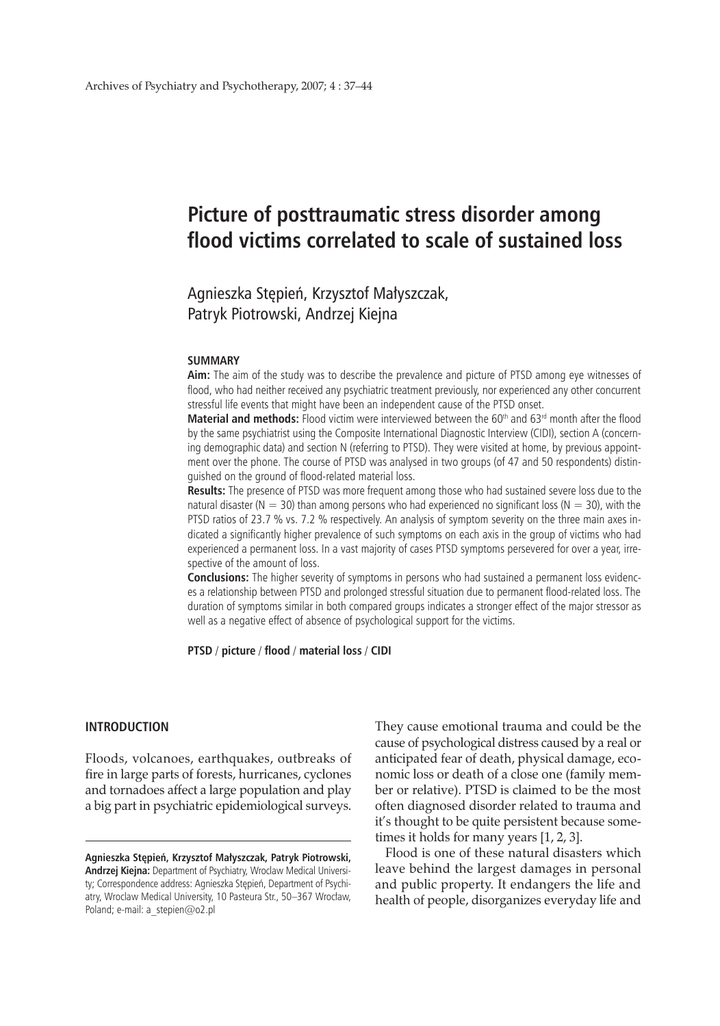# **Picture of posttraumatic stress disorder among flood victims correlated to scale of sustained loss**

# Agnieszka Stępień, Krzysztof Małyszczak, Patryk Piotrowski, Andrzej Kiejna

#### **SUMMARY**

Aim: The aim of the study was to describe the prevalence and picture of PTSD among eye witnesses of flood, who had neither received any psychiatric treatment previously, nor experienced any other concurrent stressful life events that might have been an independent cause of the PTSD onset.

**Material and methods:** Flood victim were interviewed between the 60<sup>th</sup> and 63<sup>rd</sup> month after the flood by the same psychiatrist using the Composite International Diagnostic Interview (CIDI), section A (concerning demographic data) and section N (referring to PTSD). They were visited at home, by previous appointment over the phone. The course of PTSD was analysed in two groups (of 47 and 50 respondents) distinguished on the ground of flood-related material loss.

**Results:** The presence of PTSD was more frequent among those who had sustained severe loss due to the natural disaster ( $N = 30$ ) than among persons who had experienced no significant loss ( $N = 30$ ), with the PTSD ratios of 23.7 % vs. 7.2 % respectively. An analysis of symptom severity on the three main axes indicated a significantly higher prevalence of such symptoms on each axis in the group of victims who had experienced a permanent loss. In a vast majority of cases PTSD symptoms persevered for over a year, irrespective of the amount of loss.

**Conclusions:** The higher severity of symptoms in persons who had sustained a permanent loss evidences a relationship between PTSD and prolonged stressful situation due to permanent flood-related loss. The duration of symptoms similar in both compared groups indicates a stronger effect of the major stressor as well as a negative effect of absence of psychological support for the victims.

**PTSD** / **picture** / **flood** / **material loss** / **CIDI**

## **INTRODUCTION**

Floods, volcanoes, earthquakes, outbreaks of fire in large parts of forests, hurricanes, cyclones and tornadoes affect a large population and play a big part in psychiatric epidemiological surveys.

They cause emotional trauma and could be the cause of psychological distress caused by a real or anticipated fear of death, physical damage, economic loss or death of a close one (family member or relative). PTSD is claimed to be the most often diagnosed disorder related to trauma and it's thought to be quite persistent because sometimes it holds for many years [1, 2, 3].

Flood is one of these natural disasters which leave behind the largest damages in personal and public property. It endangers the life and health of people, disorganizes everyday life and

**Agnieszka Stępień, Krzysztof Małyszczak, Patryk Piotrowski, Andrzej Kiejna:** Department of Psychiatry, Wroclaw Medical University; Correspondence address: Agnieszka Stępień, Department of Psychiatry, Wroclaw Medical University, 10 Pasteura Str., 50–367 Wrocław, Poland; e-mail: a\_stepien@o2.pl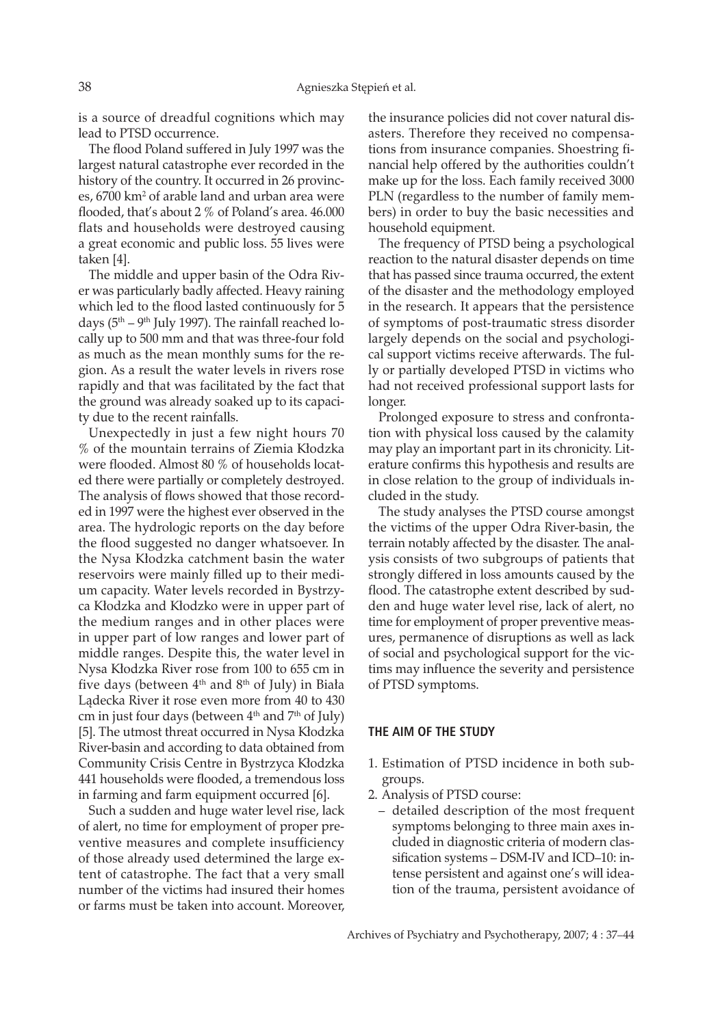is a source of dreadful cognitions which may lead to PTSD occurrence.

The flood Poland suffered in July 1997 was the largest natural catastrophe ever recorded in the history of the country. It occurred in 26 provinces, 6700 km<sup>2</sup> of arable land and urban area were flooded, that's about 2 % of Poland's area. 46.000 flats and households were destroyed causing a great economic and public loss. 55 lives were taken [4].

The middle and upper basin of the Odra River was particularly badly affected. Heavy raining which led to the flood lasted continuously for 5 days ( $5<sup>th</sup> - 9<sup>th</sup>$  July 1997). The rainfall reached locally up to 500 mm and that was three-four fold as much as the mean monthly sums for the region. As a result the water levels in rivers rose rapidly and that was facilitated by the fact that the ground was already soaked up to its capacity due to the recent rainfalls.

Unexpectedly in just a few night hours 70 % of the mountain terrains of Ziemia Kłodzka were flooded. Almost 80 % of households located there were partially or completely destroyed. The analysis of flows showed that those recorded in 1997 were the highest ever observed in the area. The hydrologic reports on the day before the flood suggested no danger whatsoever. In the Nysa Kłodzka catchment basin the water reservoirs were mainly filled up to their medium capacity. Water levels recorded in Bystrzyca Kłodzka and Kłodzko were in upper part of the medium ranges and in other places were in upper part of low ranges and lower part of middle ranges. Despite this, the water level in Nysa Kłodzka River rose from 100 to 655 cm in five days (between  $4<sup>th</sup>$  and  $8<sup>th</sup>$  of July) in Biała Lądecka River it rose even more from 40 to 430 cm in just four days (between  $4<sup>th</sup>$  and  $7<sup>th</sup>$  of July) [5]. The utmost threat occurred in Nysa Kłodzka River-basin and according to data obtained from Community Crisis Centre in Bystrzyca Kłodzka 441 households were flooded, a tremendous loss in farming and farm equipment occurred [6].

Such a sudden and huge water level rise, lack of alert, no time for employment of proper preventive measures and complete insufficiency of those already used determined the large extent of catastrophe. The fact that a very small number of the victims had insured their homes or farms must be taken into account. Moreover,

the insurance policies did not cover natural disasters. Therefore they received no compensations from insurance companies. Shoestring financial help offered by the authorities couldn't make up for the loss. Each family received 3000 PLN (regardless to the number of family members) in order to buy the basic necessities and household equipment.

The frequency of PTSD being a psychological reaction to the natural disaster depends on time that has passed since trauma occurred, the extent of the disaster and the methodology employed in the research. It appears that the persistence of symptoms of post-traumatic stress disorder largely depends on the social and psychological support victims receive afterwards. The fully or partially developed PTSD in victims who had not received professional support lasts for longer.

Prolonged exposure to stress and confrontation with physical loss caused by the calamity may play an important part in its chronicity. Literature confirms this hypothesis and results are in close relation to the group of individuals included in the study.

The study analyses the PTSD course amongst the victims of the upper Odra River-basin, the terrain notably affected by the disaster. The analysis consists of two subgroups of patients that strongly differed in loss amounts caused by the flood. The catastrophe extent described by sudden and huge water level rise, lack of alert, no time for employment of proper preventive measures, permanence of disruptions as well as lack of social and psychological support for the victims may influence the severity and persistence of PTSD symptoms.

#### **The aim of the study**

- 1. Estimation of PTSD incidence in both subgroups.
- 2. Analysis of PTSD course:
	- detailed description of the most frequent symptoms belonging to three main axes included in diagnostic criteria of modern classification systems – DSM-IV and ICD–10: intense persistent and against one's will ideation of the trauma, persistent avoidance of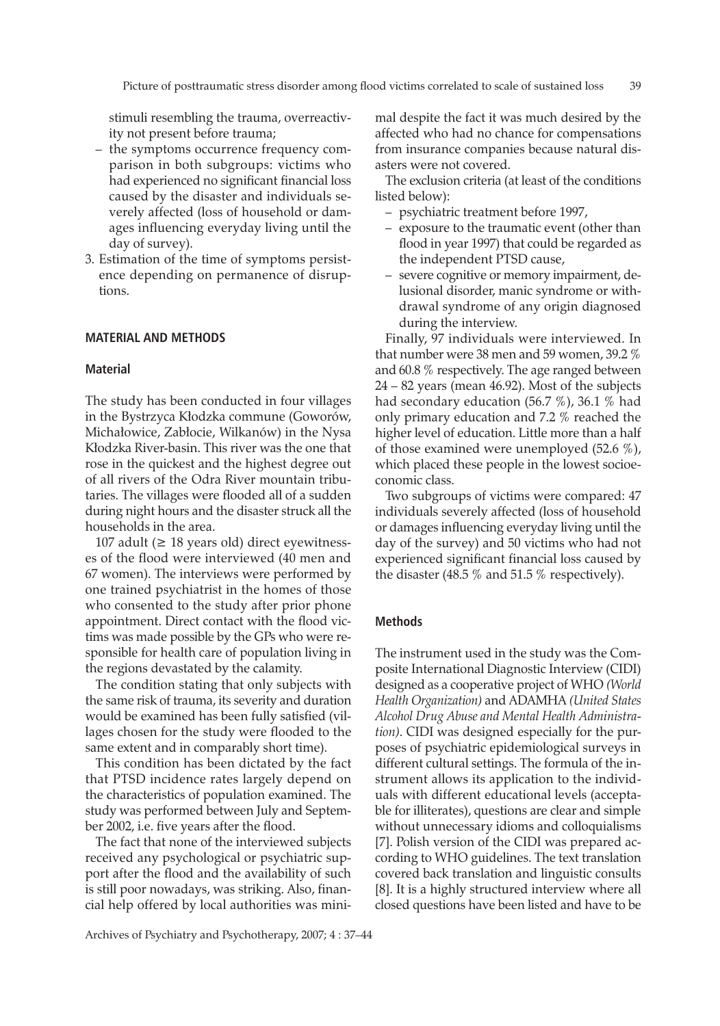stimuli resembling the trauma, overreactivity not present before trauma;

- the symptoms occurrence frequency comparison in both subgroups: victims who had experienced no significant financial loss caused by the disaster and individuals severely affected (loss of household or damages influencing everyday living until the day of survey).
- 3. Estimation of the time of symptoms persistence depending on permanence of disruptions.

#### **MATERIAL AND METHODS**

# **Material**

The study has been conducted in four villages in the Bystrzyca Kłodzka commune (Goworów, Michałowice, Zabłocie, Wilkanów) in the Nysa Kłodzka River-basin. This river was the one that rose in the quickest and the highest degree out of all rivers of the Odra River mountain tributaries. The villages were flooded all of a sudden during night hours and the disaster struck all the households in the area.

107 adult ( $\geq$  18 years old) direct eyewitnesses of the flood were interviewed (40 men and 67 women). The interviews were performed by one trained psychiatrist in the homes of those who consented to the study after prior phone appointment. Direct contact with the flood victims was made possible by the GPs who were responsible for health care of population living in the regions devastated by the calamity.

The condition stating that only subjects with the same risk of trauma, its severity and duration would be examined has been fully satisfied (villages chosen for the study were flooded to the same extent and in comparably short time).

This condition has been dictated by the fact that PTSD incidence rates largely depend on the characteristics of population examined. The study was performed between July and September 2002, i.e. five years after the flood.

The fact that none of the interviewed subjects received any psychological or psychiatric support after the flood and the availability of such is still poor nowadays, was striking. Also, financial help offered by local authorities was minimal despite the fact it was much desired by the affected who had no chance for compensations from insurance companies because natural disasters were not covered.

The exclusion criteria (at least of the conditions listed below):

- psychiatric treatment before 1997,
- exposure to the traumatic event (other than flood in year 1997) that could be regarded as the independent PTSD cause,
- severe cognitive or memory impairment, delusional disorder, manic syndrome or withdrawal syndrome of any origin diagnosed during the interview.

Finally, 97 individuals were interviewed. In that number were 38 men and 59 women, 39.2 % and 60.8 % respectively. The age ranged between 24 – 82 years (mean 46.92). Most of the subjects had secondary education (56.7 %), 36.1 % had only primary education and 7.2 % reached the higher level of education. Little more than a half of those examined were unemployed (52.6 %), which placed these people in the lowest socioeconomic class.

Two subgroups of victims were compared: 47 individuals severely affected (loss of household or damages influencing everyday living until the day of the survey) and 50 victims who had not experienced significant financial loss caused by the disaster (48.5 % and 51.5 % respectively).

#### **Methods**

The instrument used in the study was the Composite International Diagnostic Interview (CIDI) designed as a cooperative project of WHO *(World Health Organization)* and ADAMHA *(United States Alcohol Drug Abuse and Mental Health Administration)*. CIDI was designed especially for the purposes of psychiatric epidemiological surveys in different cultural settings. The formula of the instrument allows its application to the individuals with different educational levels (acceptable for illiterates), questions are clear and simple without unnecessary idioms and colloquialisms [7]. Polish version of the CIDI was prepared according to WHO guidelines. The text translation covered back translation and linguistic consults [8]. It is a highly structured interview where all closed questions have been listed and have to be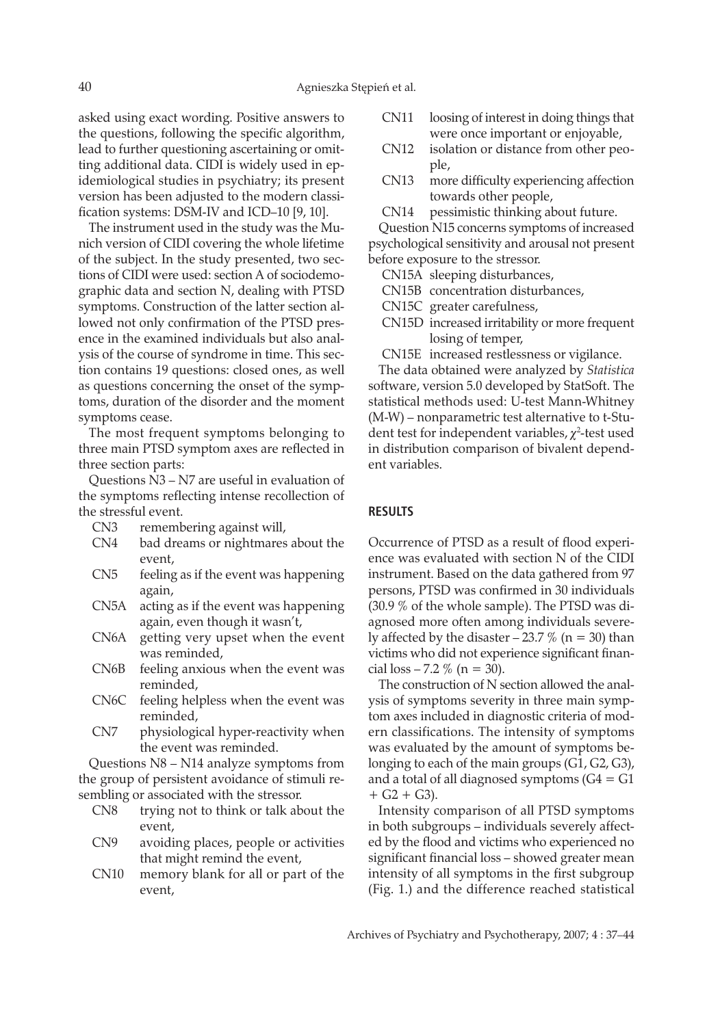asked using exact wording. Positive answers to the questions, following the specific algorithm, lead to further questioning ascertaining or omitting additional data. CIDI is widely used in epidemiological studies in psychiatry; its present version has been adjusted to the modern classification systems: DSM-IV and ICD–10 [9, 10].

The instrument used in the study was the Munich version of CIDI covering the whole lifetime of the subject. In the study presented, two sections of CIDI were used: section A of sociodemographic data and section N, dealing with PTSD symptoms. Construction of the latter section allowed not only confirmation of the PTSD presence in the examined individuals but also analysis of the course of syndrome in time. This section contains 19 questions: closed ones, as well as questions concerning the onset of the symptoms, duration of the disorder and the moment symptoms cease.

The most frequent symptoms belonging to three main PTSD symptom axes are reflected in three section parts:

Questions N3 – N7 are useful in evaluation of the symptoms reflecting intense recollection of the stressful event.

- CN3 remembering against will,
- CN4 bad dreams or nightmares about the event,
- CN5 feeling as if the event was happening again,
- CN5A acting as if the event was happening again, even though it wasn't,
- CN6A getting very upset when the event was reminded,
- CN6B feeling anxious when the event was reminded,
- CN6C feeling helpless when the event was reminded,
- CN7 physiological hyper-reactivity when the event was reminded.

Questions N8 – N14 analyze symptoms from the group of persistent avoidance of stimuli resembling or associated with the stressor.

- CN8 trying not to think or talk about the event,
- CN9 avoiding places, people or activities that might remind the event,
- CN10 memory blank for all or part of the event,
- CN11 loosing of interest in doing things that were once important or enjoyable,
- CN12 isolation or distance from other people,
- CN13 more difficulty experiencing affection towards other people,
- CN14 pessimistic thinking about future.

Question N15 concerns symptoms of increased psychological sensitivity and arousal not present before exposure to the stressor.

- CN15A sleeping disturbances,
- CN15B concentration disturbances,
- CN15C greater carefulness,
- CN15D increased irritability or more frequent losing of temper,

CN15E increased restlessness or vigilance.

The data obtained were analyzed by *Statistica* software, version 5.0 developed by StatSoft. The statistical methods used: U-test Mann-Whitney (M-W) – nonparametric test alternative to t-Student test for independent variables,  $\chi^2$ -test used in distribution comparison of bivalent dependent variables.

# **RESULTS**

Occurrence of PTSD as a result of flood experience was evaluated with section N of the CIDI instrument. Based on the data gathered from 97 persons, PTSD was confirmed in 30 individuals (30.9 % of the whole sample). The PTSD was diagnosed more often among individuals severely affected by the disaster – 23.7 % ( $n = 30$ ) than victims who did not experience significant financial loss – 7.2 % (n = 30).

The construction of N section allowed the analysis of symptoms severity in three main symptom axes included in diagnostic criteria of modern classifications. The intensity of symptoms was evaluated by the amount of symptoms belonging to each of the main groups (G1, G2, G3), and a total of all diagnosed symptoms  $(G4 = G1)$  $+ G2 + G3$ ).

Intensity comparison of all PTSD symptoms in both subgroups – individuals severely affected by the flood and victims who experienced no significant financial loss – showed greater mean intensity of all symptoms in the first subgroup (Fig. 1.) and the difference reached statistical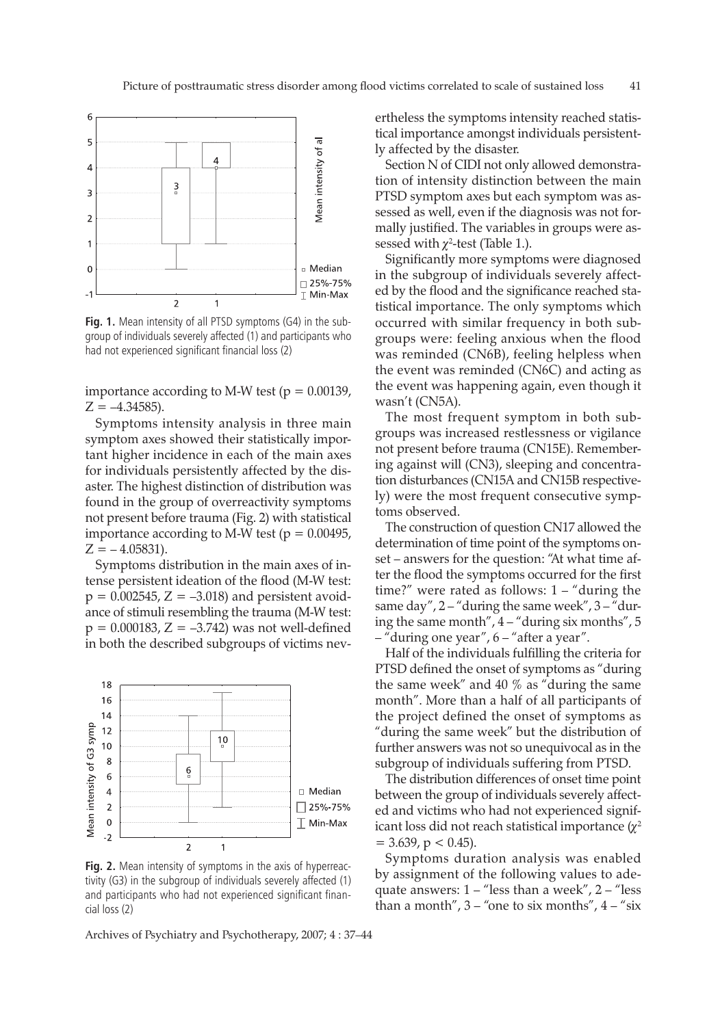

**Fig. 1.** Mean intensity of all PTSD symptoms (G4) in the subgroup of individuals severely affected (1) and participants who had not experienced significant financial loss (2)

importance according to M-W test ( $p = 0.00139$ ,  $Z = -4.34585$ ).

Symptoms intensity analysis in three main symptom axes showed their statistically important higher incidence in each of the main axes for individuals persistently affected by the disaster. The highest distinction of distribution was found in the group of overreactivity symptoms not present before trauma (Fig. 2) with statistical importance according to M-W test ( $p = 0.00495$ ,  $Z = -4.05831$ ).

Symptoms distribution in the main axes of intense persistent ideation of the flood (M-W test:  $p = 0.002545$ ,  $Z = -3.018$ ) and persistent avoidance of stimuli resembling the trauma (M-W test:  $p = 0.000183, Z = -3.742$  was not well-defined in both the described subgroups of victims nev-



Fig. 2. Mean intensity of symptoms in the axis of hyperreactivity (G3) in the subgroup of individuals severely affected (1) and participants who had not experienced significant financial loss (2)

Archives of Psychiatry and Psychotherapy, 2007; 4 : 37–44

ertheless the symptoms intensity reached statistical importance amongst individuals persistently affected by the disaster.

Section N of CIDI not only allowed demonstration of intensity distinction between the main PTSD symptom axes but each symptom was assessed as well, even if the diagnosis was not formally justified. The variables in groups were assessed with  $\chi^2$ -test (Table 1.).

Significantly more symptoms were diagnosed in the subgroup of individuals severely affected by the flood and the significance reached statistical importance. The only symptoms which occurred with similar frequency in both subgroups were: feeling anxious when the flood was reminded (CN6B), feeling helpless when the event was reminded (CN6C) and acting as the event was happening again, even though it wasn't (CN5A).

The most frequent symptom in both subgroups was increased restlessness or vigilance not present before trauma (CN15E). Remembering against will (CN3), sleeping and concentration disturbances (CN15A and CN15B respectively) were the most frequent consecutive symptoms observed.

The construction of question CN17 allowed the determination of time point of the symptoms onset – answers for the question: "At what time after the flood the symptoms occurred for the first time?" were rated as follows: 1 – "during the same day",  $2 -$ "during the same week",  $3 -$ "during the same month", 4 – "during six months", 5 – "during one year", 6 – "after a year".

Half of the individuals fulfilling the criteria for PTSD defined the onset of symptoms as "during the same week" and 40 % as "during the same month". More than a half of all participants of the project defined the onset of symptoms as "during the same week" but the distribution of further answers was not so unequivocal as in the subgroup of individuals suffering from PTSD.

The distribution differences of onset time point between the group of individuals severely affected and victims who had not experienced significant loss did not reach statistical importance  $(\chi^2)$  $= 3.639$ , p  $< 0.45$ ).

Symptoms duration analysis was enabled by assignment of the following values to adequate answers:  $1 -$  "less than a week",  $2 -$  "less" than a month",  $3 -$ "one to six months",  $4 -$ "six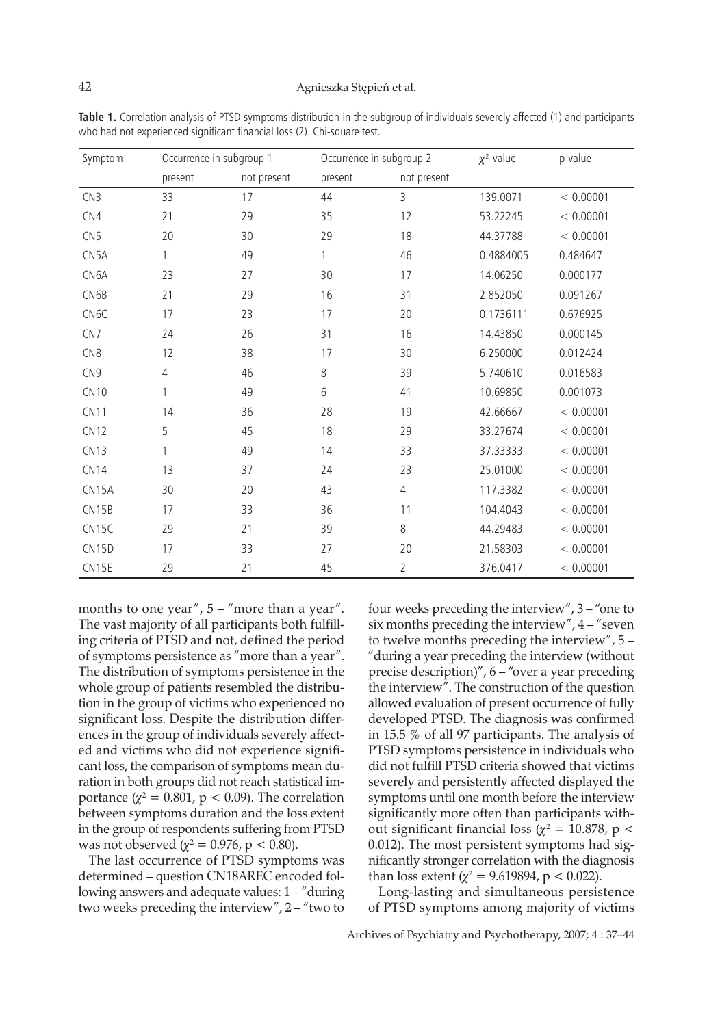| Symptom          | Occurrence in subgroup 1 |             | Occurrence in subgroup 2 |                | $\chi^2$ -value | p-value   |
|------------------|--------------------------|-------------|--------------------------|----------------|-----------------|-----------|
|                  | present                  | not present | present                  | not present    |                 |           |
| CN3              | 33                       | 17          | 44                       | 3              | 139.0071        | < 0.00001 |
| CN4              | 21                       | 29          | 35                       | 12             | 53.22245        | < 0.00001 |
| CN <sub>5</sub>  | 20                       | 30          | 29                       | 18             | 44.37788        | < 0.00001 |
| CN5A             | 1                        | 49          | 1                        | 46             | 0.4884005       | 0.484647  |
| CN6A             | 23                       | 27          | 30                       | 17             | 14.06250        | 0.000177  |
| CN6B             | 21                       | 29          | 16                       | 31             | 2.852050        | 0.091267  |
| CN <sub>6C</sub> | 17                       | 23          | 17                       | 20             | 0.1736111       | 0.676925  |
| CN7              | 24                       | 26          | 31                       | 16             | 14.43850        | 0.000145  |
| CN <sub>8</sub>  | 12                       | 38          | 17                       | 30             | 6.250000        | 0.012424  |
| CN <sub>9</sub>  | $\overline{4}$           | 46          | 8                        | 39             | 5.740610        | 0.016583  |
| <b>CN10</b>      | 1                        | 49          | 6                        | 41             | 10.69850        | 0.001073  |
| CN11             | 14                       | 36          | 28                       | 19             | 42.66667        | < 0.00001 |
| CN12             | 5                        | 45          | 18                       | 29             | 33.27674        | < 0.00001 |
| CN13             | 1                        | 49          | 14                       | 33             | 37.33333        | < 0.00001 |
| CN14             | 13                       | 37          | 24                       | 23             | 25.01000        | < 0.00001 |
| CN15A            | 30                       | 20          | 43                       | $\overline{4}$ | 117.3382        | < 0.00001 |
| CN15B            | 17                       | 33          | 36                       | 11             | 104.4043        | < 0.00001 |
| CN15C            | 29                       | 21          | 39                       | 8              | 44.29483        | < 0.00001 |
| CN15D            | 17                       | 33          | 27                       | 20             | 21.58303        | < 0.00001 |
| CN15E            | 29                       | 21          | 45                       | $\overline{2}$ | 376.0417        | < 0.00001 |

**Table 1.** Correlation analysis of PTSD symptoms distribution in the subgroup of individuals severely affected (1) and participants who had not experienced significant financial loss (2). Chi-square test.

months to one year",  $5 -$ " more than a year". The vast majority of all participants both fulfilling criteria of PTSD and not, defined the period of symptoms persistence as "more than a year". The distribution of symptoms persistence in the whole group of patients resembled the distribution in the group of victims who experienced no significant loss. Despite the distribution differences in the group of individuals severely affected and victims who did not experience significant loss, the comparison of symptoms mean duration in both groups did not reach statistical importance ( $\chi^2 = 0.801$ , p < 0.09). The correlation between symptoms duration and the loss extent in the group of respondents suffering from PTSD was not observed ( $\chi^2 = 0.976$ , p < 0.80).

The last occurrence of PTSD symptoms was determined – question CN18AREC encoded following answers and adequate values: 1 – "during two weeks preceding the interview", 2 – "two to

four weeks preceding the interview", 3 – "one to six months preceding the interview",  $4 -$ "seven to twelve months preceding the interview", 5 – "during a year preceding the interview (without precise description)", 6 – "over a year preceding the interview". The construction of the question allowed evaluation of present occurrence of fully developed PTSD. The diagnosis was confirmed in 15.5 % of all 97 participants. The analysis of PTSD symptoms persistence in individuals who did not fulfill PTSD criteria showed that victims severely and persistently affected displayed the symptoms until one month before the interview significantly more often than participants without significant financial loss ( $\chi^2 = 10.878$ , p < 0.012). The most persistent symptoms had significantly stronger correlation with the diagnosis than loss extent ( $\chi^2$  = 9.619894, p < 0.022).

Long-lasting and simultaneous persistence of PTSD symptoms among majority of victims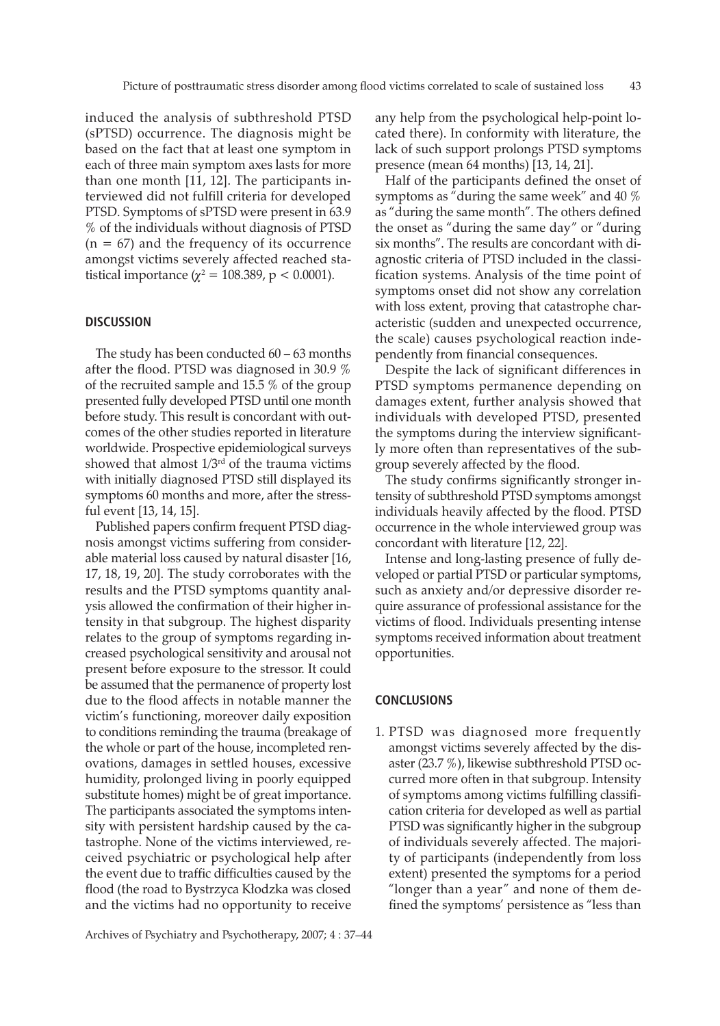induced the analysis of subthreshold PTSD (sPTSD) occurrence. The diagnosis might be based on the fact that at least one symptom in each of three main symptom axes lasts for more than one month [11, 12]. The participants interviewed did not fulfill criteria for developed PTSD. Symptoms of sPTSD were present in 63.9 % of the individuals without diagnosis of PTSD  $(n = 67)$  and the frequency of its occurrence amongst victims severely affected reached statistical importance ( $\chi^2 = 108.389$ , p < 0.0001).

## **DISCUSSION**

The study has been conducted 60 – 63 months after the flood. PTSD was diagnosed in 30.9 % of the recruited sample and 15.5 % of the group presented fully developed PTSD until one month before study. This result is concordant with outcomes of the other studies reported in literature worldwide. Prospective epidemiological surveys showed that almost  $1/3<sup>rd</sup>$  of the trauma victims with initially diagnosed PTSD still displayed its symptoms 60 months and more, after the stressful event [13, 14, 15].

Published papers confirm frequent PTSD diagnosis amongst victims suffering from considerable material loss caused by natural disaster [16, 17, 18, 19, 20]. The study corroborates with the results and the PTSD symptoms quantity analysis allowed the confirmation of their higher intensity in that subgroup. The highest disparity relates to the group of symptoms regarding increased psychological sensitivity and arousal not present before exposure to the stressor. It could be assumed that the permanence of property lost due to the flood affects in notable manner the victim's functioning, moreover daily exposition to conditions reminding the trauma (breakage of the whole or part of the house, incompleted renovations, damages in settled houses, excessive humidity, prolonged living in poorly equipped substitute homes) might be of great importance. The participants associated the symptoms intensity with persistent hardship caused by the catastrophe. None of the victims interviewed, received psychiatric or psychological help after the event due to traffic difficulties caused by the flood (the road to Bystrzyca Kłodzka was closed and the victims had no opportunity to receive any help from the psychological help-point located there). In conformity with literature, the lack of such support prolongs PTSD symptoms presence (mean 64 months) [13, 14, 21].

Half of the participants defined the onset of symptoms as "during the same week" and 40 % as "during the same month". The others defined the onset as "during the same day" or "during six months". The results are concordant with diagnostic criteria of PTSD included in the classification systems. Analysis of the time point of symptoms onset did not show any correlation with loss extent, proving that catastrophe characteristic (sudden and unexpected occurrence, the scale) causes psychological reaction independently from financial consequences.

Despite the lack of significant differences in PTSD symptoms permanence depending on damages extent, further analysis showed that individuals with developed PTSD, presented the symptoms during the interview significantly more often than representatives of the subgroup severely affected by the flood.

The study confirms significantly stronger intensity of subthreshold PTSD symptoms amongst individuals heavily affected by the flood. PTSD occurrence in the whole interviewed group was concordant with literature [12, 22].

Intense and long-lasting presence of fully developed or partial PTSD or particular symptoms, such as anxiety and/or depressive disorder require assurance of professional assistance for the victims of flood. Individuals presenting intense symptoms received information about treatment opportunities.

#### **CONCLUSIONS**

1. PTSD was diagnosed more frequently amongst victims severely affected by the disaster (23.7 %), likewise subthreshold PTSD occurred more often in that subgroup. Intensity of symptoms among victims fulfilling classification criteria for developed as well as partial PTSD was significantly higher in the subgroup of individuals severely affected. The majority of participants (independently from loss extent) presented the symptoms for a period "longer than a year" and none of them defined the symptoms' persistence as "less than

Archives of Psychiatry and Psychotherapy, 2007; 4 : 37–44